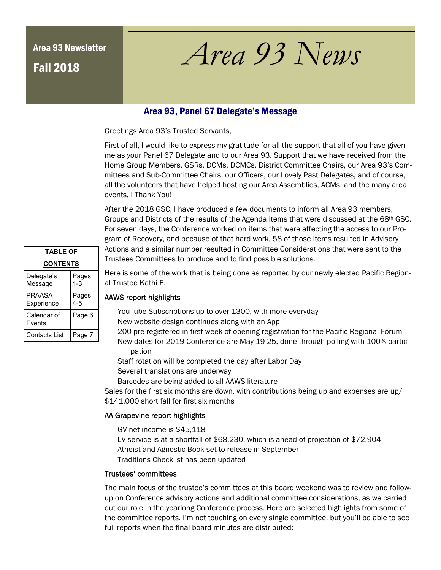# Fall 2018

# Area 93 Newsletter *Area 93 News*

## Area 93, Panel 67 Delegate's Message

Greetings Area 93's Trusted Servants,

First of all, I would like to express my gratitude for all the support that all of you have given me as your Panel 67 Delegate and to our Area 93. Support that we have received from the Home Group Members, GSRs, DCMs, DCMCs, District Committee Chairs, our Area 93's Committees and Sub-Committee Chairs, our Officers, our Lovely Past Delegates, and of course, all the volunteers that have helped hosting our Area Assemblies, ACMs, and the many area events, I Thank You!

After the 2018 GSC, I have produced a few documents to inform all Area 93 members, Groups and Districts of the results of the Agenda Items that were discussed at the 68th GSC. For seven days, the Conference worked on items that were affecting the access to our Program of Recovery, and because of that hard work, 58 of those items resulted in Advisory Actions and a similar number resulted in Committee Considerations that were sent to the Trustees Committees to produce and to find possible solutions.

| <b>TABLE OF</b>             |                  |  |  |
|-----------------------------|------------------|--|--|
| <b>CONTENTS</b>             |                  |  |  |
| Delegate's<br>Message       | Pages<br>$1 - 3$ |  |  |
| <b>PRAASA</b><br>Experience | Pages<br>4-5     |  |  |
| Calendar of<br>Fvents       | Page 6           |  |  |
| Contacts List               | Page 7           |  |  |

Here is some of the work that is being done as reported by our newly elected Pacific Regional Trustee Kathi F.

### AAWS report highlights

YouTube Subscriptions up to over 1300, with more everyday

New website design continues along with an App

200 pre-registered in first week of opening registration for the Pacific Regional Forum New dates for 2019 Conference are May 19-25, done through polling with 100% participation

Staff rotation will be completed the day after Labor Day

Several translations are underway

Barcodes are being added to all AAWS literature

Sales for the first six months are down, with contributions being up and expenses are up/ \$141,000 short fall for first six months

### AA Grapevine report highlights

GV net income is \$45,118

LV service is at a shortfall of \$68,230, which is ahead of projection of \$72,904 Atheist and Agnostic Book set to release in September Traditions Checklist has been updated

#### Trustees' committees

The main focus of the trustee's committees at this board weekend was to review and followup on Conference advisory actions and additional committee considerations, as we carried out our role in the yearlong Conference process. Here are selected highlights from some of the committee reports. I'm not touching on every single committee, but you'll be able to see full reports when the final board minutes are distributed: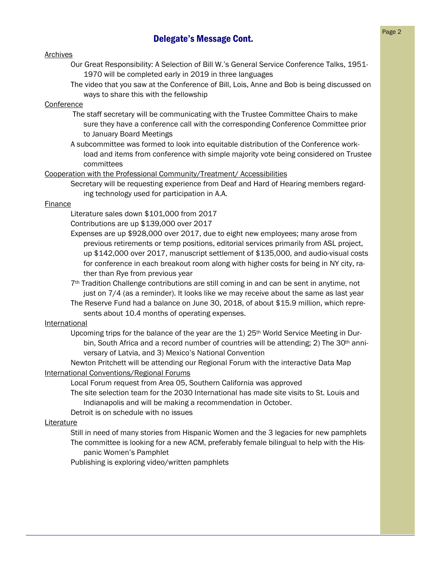# **Delegate's Message Cont.** Page 2

#### Archives

- Our Great Responsibility: A Selection of Bill W.'s General Service Conference Talks, 1951- 1970 will be completed early in 2019 in three languages
- The video that you saw at the Conference of Bill, Lois, Anne and Bob is being discussed on ways to share this with the fellowship

#### Conference

- The staff secretary will be communicating with the Trustee Committee Chairs to make sure they have a conference call with the corresponding Conference Committee prior to January Board Meetings
- A subcommittee was formed to look into equitable distribution of the Conference workload and items from conference with simple majority vote being considered on Trustee committees

#### Cooperation with the Professional Community/Treatment/ Accessibilities

Secretary will be requesting experience from Deaf and Hard of Hearing members regarding technology used for participation in A.A.

#### Finance

Literature sales down \$101,000 from 2017

- Contributions are up \$139,000 over 2017
- Expenses are up \$928,000 over 2017, due to eight new employees; many arose from previous retirements or temp positions, editorial services primarily from ASL project, up \$142,000 over 2017, manuscript settlement of \$135,000, and audio-visual costs for conference in each breakout room along with higher costs for being in NY city, rather than Rye from previous year
- 7th Tradition Challenge contributions are still coming in and can be sent in anytime, not just on 7/4 (as a reminder). It looks like we may receive about the same as last year
- The Reserve Fund had a balance on June 30, 2018, of about \$15.9 million, which represents about 10.4 months of operating expenses.

#### International

Upcoming trips for the balance of the year are the  $1$ )  $25<sup>th</sup>$  World Service Meeting in Durbin, South Africa and a record number of countries will be attending; 2) The 30<sup>th</sup> anniversary of Latvia, and 3) Mexico's National Convention

Newton Pritchett will be attending our Regional Forum with the interactive Data Map International Conventions/Regional Forums

Local Forum request from Area 05, Southern California was approved

The site selection team for the 2030 International has made site visits to St. Louis and Indianapolis and will be making a recommendation in October.

Detroit is on schedule with no issues

#### **Literature**

Still in need of many stories from Hispanic Women and the 3 legacies for new pamphlets The committee is looking for a new ACM, preferably female bilingual to help with the Hispanic Women's Pamphlet

Publishing is exploring video/written pamphlets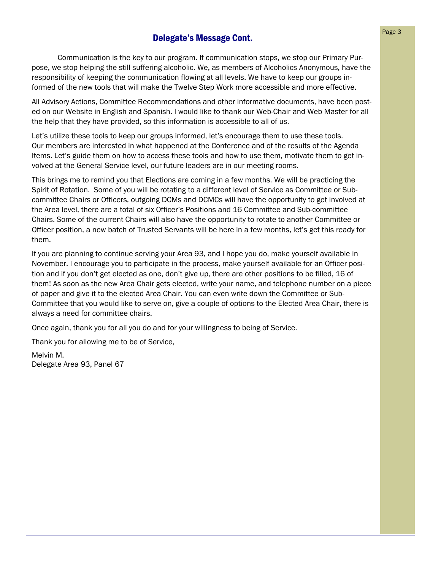# **Delegate's Message Cont.** Page 3

 Communication is the key to our program. If communication stops, we stop our Primary Purpose, we stop helping the still suffering alcoholic. We, as members of Alcoholics Anonymous, have the responsibility of keeping the communication flowing at all levels. We have to keep our groups informed of the new tools that will make the Twelve Step Work more accessible and more effective.

All Advisory Actions, Committee Recommendations and other informative documents, have been posted on our Website in English and Spanish. I would like to thank our Web-Chair and Web Master for all the help that they have provided, so this information is accessible to all of us.

Let's utilize these tools to keep our groups informed, let's encourage them to use these tools. Our members are interested in what happened at the Conference and of the results of the Agenda Items. Let's guide them on how to access these tools and how to use them, motivate them to get involved at the General Service level, our future leaders are in our meeting rooms.

This brings me to remind you that Elections are coming in a few months. We will be practicing the Spirit of Rotation. Some of you will be rotating to a different level of Service as Committee or Subcommittee Chairs or Officers, outgoing DCMs and DCMCs will have the opportunity to get involved at the Area level, there are a total of six Officer's Positions and 16 Committee and Sub-committee Chairs. Some of the current Chairs will also have the opportunity to rotate to another Committee or Officer position, a new batch of Trusted Servants will be here in a few months, let's get this ready for them.

If you are planning to continue serving your Area 93, and I hope you do, make yourself available in November. I encourage you to participate in the process, make yourself available for an Officer position and if you don't get elected as one, don't give up, there are other positions to be filled, 16 of them! As soon as the new Area Chair gets elected, write your name, and telephone number on a piece of paper and give it to the elected Area Chair. You can even write down the Committee or Sub-Committee that you would like to serve on, give a couple of options to the Elected Area Chair, there is always a need for committee chairs.

Once again, thank you for all you do and for your willingness to being of Service.

Thank you for allowing me to be of Service,

Melvin M. Delegate Area 93, Panel 67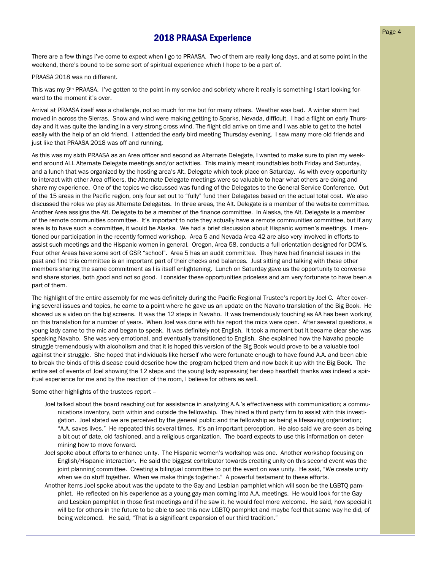## **2018 PRAASA Experience** Page 4

There are a few things I've come to expect when I go to PRAASA. Two of them are really long days, and at some point in the weekend, there's bound to be some sort of spiritual experience which I hope to be a part of.

#### PRAASA 2018 was no different.

This was my 9<sup>th</sup> PRAASA. I've gotten to the point in my service and sobriety where it really is something I start looking forward to the moment it's over.

Arrival at PRAASA itself was a challenge, not so much for me but for many others. Weather was bad. A winter storm had moved in across the Sierras. Snow and wind were making getting to Sparks, Nevada, difficult. I had a flight on early Thursday and it was quite the landing in a very strong cross wind. The flight did arrive on time and I was able to get to the hotel easily with the help of an old friend. I attended the early bird meeting Thursday evening. I saw many more old friends and just like that PRAASA 2018 was off and running.

As this was my sixth PRAASA as an Area officer and second as Alternate Delegate, I wanted to make sure to plan my weekend around ALL Alternate Delegate meetings and/or activities. This mainly meant roundtables both Friday and Saturday, and a lunch that was organized by the hosting area's Alt. Delegate which took place on Saturday. As with every opportunity to interact with other Area officers, the Alternate Delegate meetings were so valuable to hear what others are doing and share my experience. One of the topics we discussed was funding of the Delegates to the General Service Conference. Out of the 15 areas in the Pacific region, only four set out to "fully" fund their Delegates based on the actual total cost. We also discussed the roles we play as Alternate Delegates. In three areas, the Alt. Delegate is a member of the website committee. Another Area assigns the Alt. Delegate to be a member of the finance committee. In Alaska, the Alt. Delegate is a member of the remote communities committee. It's important to note they actually have a remote communities committee, but if any area is to have such a committee, it would be Alaska. We had a brief discussion about Hispanic women's meetings. I mentioned our participation in the recently formed workshop. Area 5 and Nevada Area 42 are also very involved in efforts to assist such meetings and the Hispanic women in general. Oregon, Area 58, conducts a full orientation designed for DCM's. Four other Areas have some sort of GSR "school". Area 5 has an audit committee. They have had financial issues in the past and find this committee is an important part of their checks and balances. Just sitting and talking with these other members sharing the same commitment as I is itself enlightening. Lunch on Saturday gave us the opportunity to converse and share stories, both good and not so good. I consider these opportunities priceless and am very fortunate to have been a part of them.

The highlight of the entire assembly for me was definitely during the Pacific Regional Trustee's report by Joel C. After covering several issues and topics, he came to a point where he gave us an update on the Navaho translation of the Big Book. He showed us a video on the big screens. It was the 12 steps in Navaho. It was tremendously touching as AA has been working on this translation for a number of years. When Joel was done with his report the mics were open. After several questions, a young lady came to the mic and began to speak. It was definitely not English. It took a moment but it became clear she was speaking Navaho. She was very emotional, and eventually transitioned to English. She explained how the Navaho people struggle tremendously with alcoholism and that it is hoped this version of the Big Book would prove to be a valuable tool against their struggle. She hoped that individuals like herself who were fortunate enough to have found A.A. and been able to break the binds of this disease could describe how the program helped them and now back it up with the Big Book. The entire set of events of Joel showing the 12 steps and the young lady expressing her deep heartfelt thanks was indeed a spiritual experience for me and by the reaction of the room, I believe for others as well.

Some other highlights of the trustees report –

- Joel talked about the board reaching out for assistance in analyzing A.A.'s effectiveness with communication; a communications inventory, both within and outside the fellowship. They hired a third party firm to assist with this investigation. Joel stated we are perceived by the general public and the fellowship as being a lifesaving organization; "A.A. saves lives." He repeated this several times. It's an important perception. He also said we are seen as being a bit out of date, old fashioned, and a religious organization. The board expects to use this information on determining how to move forward.
- Joel spoke about efforts to enhance unity. The Hispanic women's workshop was one. Another workshop focusing on English/Hispanic interaction. He said the biggest contributor towards creating unity on this second event was the joint planning committee. Creating a bilingual committee to put the event on *was* unity. He said, "We create unity when we do stuff together. When we make things together." A powerful testament to these efforts.
- Another items Joel spoke about was the update to the Gay and Lesbian pamphlet which will soon be the LGBTQ pamphlet. He reflected on his experience as a young gay man coming into A.A. meetings. He would look for the Gay and Lesbian pamphlet in those first meetings and if he saw it, he would feel more welcome. He said, how special it will be for others in the future to be able to see this new LGBTQ pamphlet and maybe feel that same way he did, of being welcomed. He said, "That is a significant expansion of our third tradition."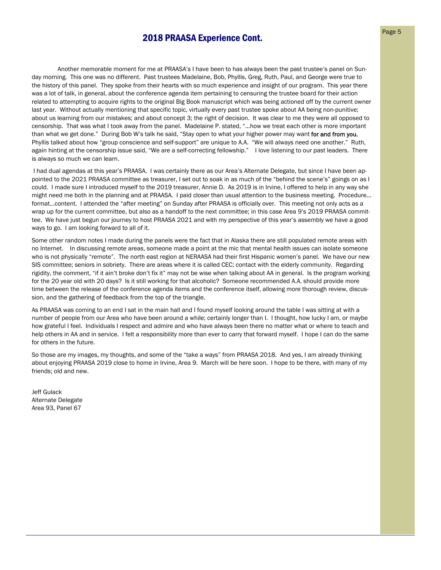## **2018 PRAASA Experience Cont.** Page 5

 Another memorable moment for me at PRAASA's I have been to has always been the past trustee's panel on Sunday morning. This one was no different. Past trustees Madelaine, Bob, Phyllis, Greg, Ruth, Paul, and George were true to the history of this panel. They spoke from their hearts with so much experience and insight of our program. This year there was a lot of talk, in general, about the conference agenda item pertaining to censuring the trustee board for their action related to attempting to acquire rights to the original Big Book manuscript which was being actioned off by the current owner last year. Without actually mentioning that specific topic, virtually every past trustee spoke about AA being non-punitive; about us learning from our mistakes; and about concept 3; the right of decision. It was clear to me they were all opposed to censorship. That was what I took away from the panel. Madelaine P. stated, "…how we treat each other is more important than what we get done." During Bob W's talk he said, "Stay open to what your higher power may want for and from you. Phyllis talked about how "group conscience and self-support" are unique to A.A. "We will always need one another." Ruth, again hinting at the censorship issue said, "We are a self-correcting fellowship." I love listening to our past leaders. There is always so much we can learn.

 I had dual agendas at this year's PRAASA. I was certainly there as our Area's Alternate Delegate, but since I have been appointed to the 2021 PRAASA committee as treasurer, I set out to soak in as much of the "behind the scene's" goings on as I could. I made sure I introduced myself to the 2019 treasurer, Annie D. As 2019 is in Irvine, I offered to help in any way she might need me both in the planning and at PRAASA. I paid closer than usual attention to the business meeting. Procedure… format…content. I attended the "after meeting" on Sunday after PRAASA is officially over. This meeting not only acts as a wrap up for the current committee, but also as a handoff to the next committee; in this case Area 9's 2019 PRAASA committee. We have just begun our journey to host PRAASA 2021 and with my perspective of this year's assembly we have a good ways to go. I am looking forward to all of it.

Some other random notes I made during the panels were the fact that in Alaska there are still populated remote areas with no Internet. In discussing remote areas, someone made a point at the mic that mental health issues can isolate someone who is not physically "remote". The north east region at NERAASA had their first Hispanic women's panel. We have our new SIS committee; seniors in sobriety. There are areas where it is called CEC; contact with the elderly community. Regarding rigidity, the comment, "if it ain't broke don't fix it" may not be wise when talking about AA in general. Is the program working for the 20 year old with 20 days? Is it still working for that alcoholic? Someone recommended A.A. should provide more time between the release of the conference agenda items and the conference itself, allowing more thorough review, discussion, and the gathering of feedback from the top of the triangle.

As PRAASA was coming to an end I sat in the main hall and I found myself looking around the table I was sitting at with a number of people from our Area who have been around a while; certainly longer than I. I thought, how lucky I am, or maybe how grateful I feel. Individuals I respect and admire and who have always been there no matter what or where to teach and help others in AA and in service. I felt a responsibility more than ever to carry that forward myself. I hope I can do the same for others in the future.

So those are my images, my thoughts, and some of the "take a ways" from PRAASA 2018. And yes, I am already thinking about enjoying PRAASA 2019 close to home in Irvine, Area 9. March will be here soon. I hope to be there, with many of my friends; old and new.

Jeff Gulack Alternate Delegate Area 93, Panel 67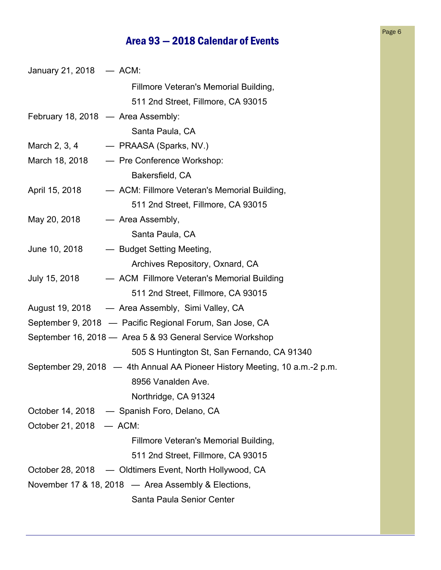## Area 93 — 2018 Calendar of Events

| January 21, 2018 - ACM:                                  |  |                                                                            |
|----------------------------------------------------------|--|----------------------------------------------------------------------------|
|                                                          |  | Fillmore Veteran's Memorial Building,                                      |
|                                                          |  | 511 2nd Street, Fillmore, CA 93015                                         |
| February 18, 2018 - Area Assembly:                       |  |                                                                            |
|                                                          |  | Santa Paula, CA                                                            |
|                                                          |  | March 2, 3, 4 - PRAASA (Sparks, NV.)                                       |
|                                                          |  | March 18, 2018 - Pre Conference Workshop:                                  |
|                                                          |  | Bakersfield, CA                                                            |
| April 15, 2018                                           |  | - ACM: Fillmore Veteran's Memorial Building,                               |
|                                                          |  | 511 2nd Street, Fillmore, CA 93015                                         |
| May 20, 2018 $-$ Area Assembly,                          |  |                                                                            |
|                                                          |  | Santa Paula, CA                                                            |
|                                                          |  | June 10, 2018 - Budget Setting Meeting,                                    |
|                                                          |  | Archives Repository, Oxnard, CA                                            |
|                                                          |  | July 15, 2018 - ACM Fillmore Veteran's Memorial Building                   |
|                                                          |  | 511 2nd Street, Fillmore, CA 93015                                         |
|                                                          |  | August 19, 2018 — Area Assembly, Simi Valley, CA                           |
| September 9, 2018 - Pacific Regional Forum, San Jose, CA |  |                                                                            |
|                                                          |  | September 16, 2018 - Area 5 & 93 General Service Workshop                  |
|                                                          |  | 505 S Huntington St, San Fernando, CA 91340                                |
|                                                          |  | September 29, 2018 - 4th Annual AA Pioneer History Meeting, 10 a.m.-2 p.m. |
|                                                          |  | 8956 Vanalden Ave.                                                         |
|                                                          |  | Northridge, CA 91324                                                       |
|                                                          |  | October 14, 2018 — Spanish Foro, Delano, CA                                |
| October 21, 2018 - ACM:                                  |  |                                                                            |
|                                                          |  | Fillmore Veteran's Memorial Building,                                      |
|                                                          |  | 511 2nd Street, Fillmore, CA 93015                                         |
|                                                          |  | October 28, 2018 — Oldtimers Event, North Hollywood, CA                    |
|                                                          |  | November 17 & 18, 2018 - Area Assembly & Elections,                        |
|                                                          |  | Santa Paula Senior Center                                                  |